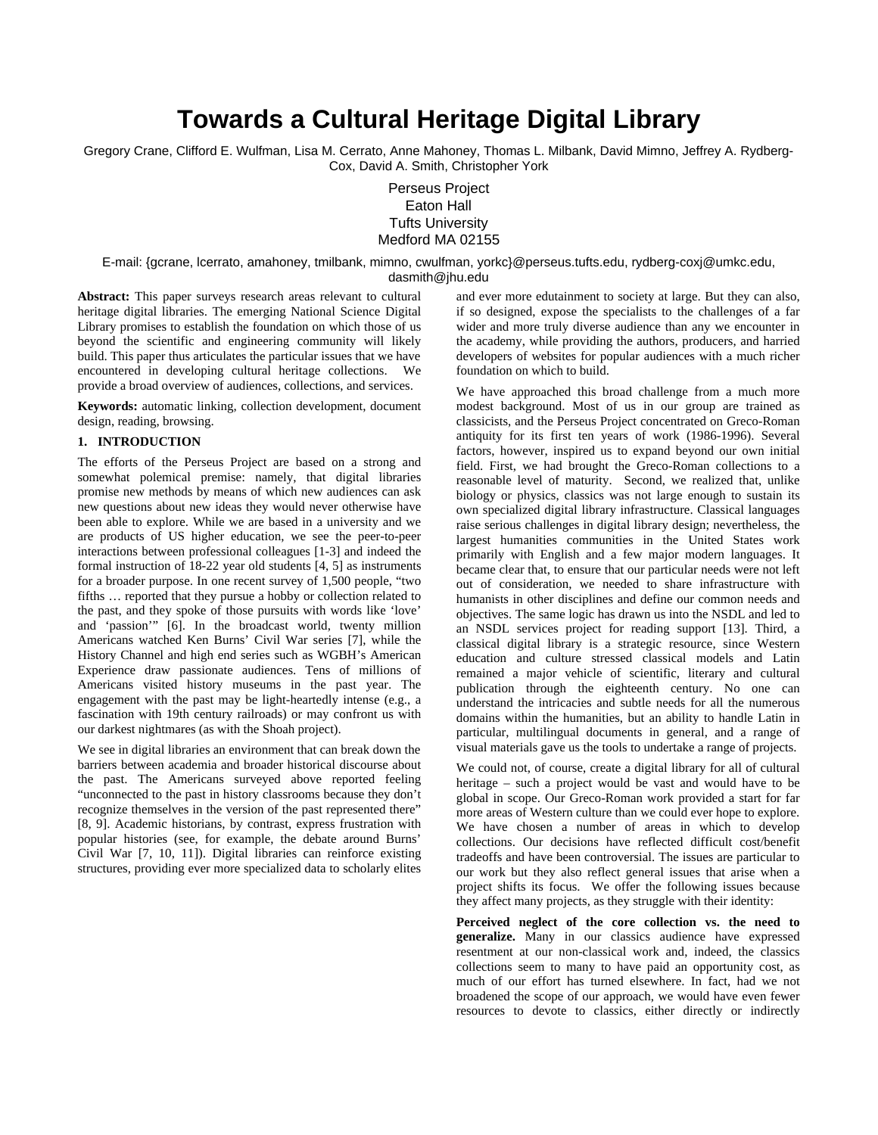# **Towards a Cultural Heritage Digital Library**

Gregory Crane, Clifford E. Wulfman, Lisa M. Cerrato, Anne Mahoney, Thomas L. Milbank, David Mimno, Jeffrey A. Rydberg-Cox, David A. Smith, Christopher York

> Perseus Project Eaton Hall Tufts University Medford MA 02155

E-mail: {gcrane, lcerrato, amahoney, tmilbank, mimno, cwulfman, yorkc}@perseus.tufts.edu, rydberg-coxj@umkc.edu, dasmith@jhu.edu

**Abstract:** This paper surveys research areas relevant to cultural heritage digital libraries. The emerging National Science Digital Library promises to establish the foundation on which those of us beyond the scientific and engineering community will likely build. This paper thus articulates the particular issues that we have encountered in developing cultural heritage collections. We provide a broad overview of audiences, collections, and services.

**Keywords:** automatic linking, collection development, document design, reading, browsing.

## **1. INTRODUCTION**

The efforts of the Perseus Project are based on a strong and somewhat polemical premise: namely, that digital libraries promise new methods by means of which new audiences can ask new questions about new ideas they would never otherwise have been able to explore. While we are based in a university and we are products of US higher education, we see the peer-to-peer interactions between professional colleagues [1-3] and indeed the formal instruction of 18-22 year old students [4, 5] as instruments for a broader purpose. In one recent survey of 1,500 people, "two fifths … reported that they pursue a hobby or collection related to the past, and they spoke of those pursuits with words like 'love' and 'passion'" [6]. In the broadcast world, twenty million Americans watched Ken Burns' Civil War series [7], while the History Channel and high end series such as WGBH's American Experience draw passionate audiences. Tens of millions of Americans visited history museums in the past year. The engagement with the past may be light-heartedly intense (e.g., a fascination with 19th century railroads) or may confront us with our darkest nightmares (as with the Shoah project).

We see in digital libraries an environment that can break down the barriers between academia and broader historical discourse about the past. The Americans surveyed above reported feeling "unconnected to the past in history classrooms because they don't recognize themselves in the version of the past represented there" [8, 9]. Academic historians, by contrast, express frustration with popular histories (see, for example, the debate around Burns' Civil War [7, 10, 11]). Digital libraries can reinforce existing structures, providing ever more specialized data to scholarly elites

and ever more edutainment to society at large. But they can also, if so designed, expose the specialists to the challenges of a far wider and more truly diverse audience than any we encounter in the academy, while providing the authors, producers, and harried developers of websites for popular audiences with a much richer foundation on which to build.

We have approached this broad challenge from a much more modest background. Most of us in our group are trained as classicists, and the Perseus Project concentrated on Greco-Roman antiquity for its first ten years of work (1986-1996). Several factors, however, inspired us to expand beyond our own initial field. First, we had brought the Greco-Roman collections to a reasonable level of maturity. Second, we realized that, unlike biology or physics, classics was not large enough to sustain its own specialized digital library infrastructure. Classical languages raise serious challenges in digital library design; nevertheless, the largest humanities communities in the United States work primarily with English and a few major modern languages. It became clear that, to ensure that our particular needs were not left out of consideration, we needed to share infrastructure with humanists in other disciplines and define our common needs and objectives. The same logic has drawn us into the NSDL and led to an NSDL services project for reading support [13]. Third, a classical digital library is a strategic resource, since Western education and culture stressed classical models and Latin remained a major vehicle of scientific, literary and cultural publication through the eighteenth century. No one can understand the intricacies and subtle needs for all the numerous domains within the humanities, but an ability to handle Latin in particular, multilingual documents in general, and a range of visual materials gave us the tools to undertake a range of projects.

We could not, of course, create a digital library for all of cultural heritage – such a project would be vast and would have to be global in scope. Our Greco-Roman work provided a start for far more areas of Western culture than we could ever hope to explore. We have chosen a number of areas in which to develop collections. Our decisions have reflected difficult cost/benefit tradeoffs and have been controversial. The issues are particular to our work but they also reflect general issues that arise when a project shifts its focus. We offer the following issues because they affect many projects, as they struggle with their identity:

**Perceived neglect of the core collection vs. the need to generalize.** Many in our classics audience have expressed resentment at our non-classical work and, indeed, the classics collections seem to many to have paid an opportunity cost, as much of our effort has turned elsewhere. In fact, had we not broadened the scope of our approach, we would have even fewer resources to devote to classics, either directly or indirectly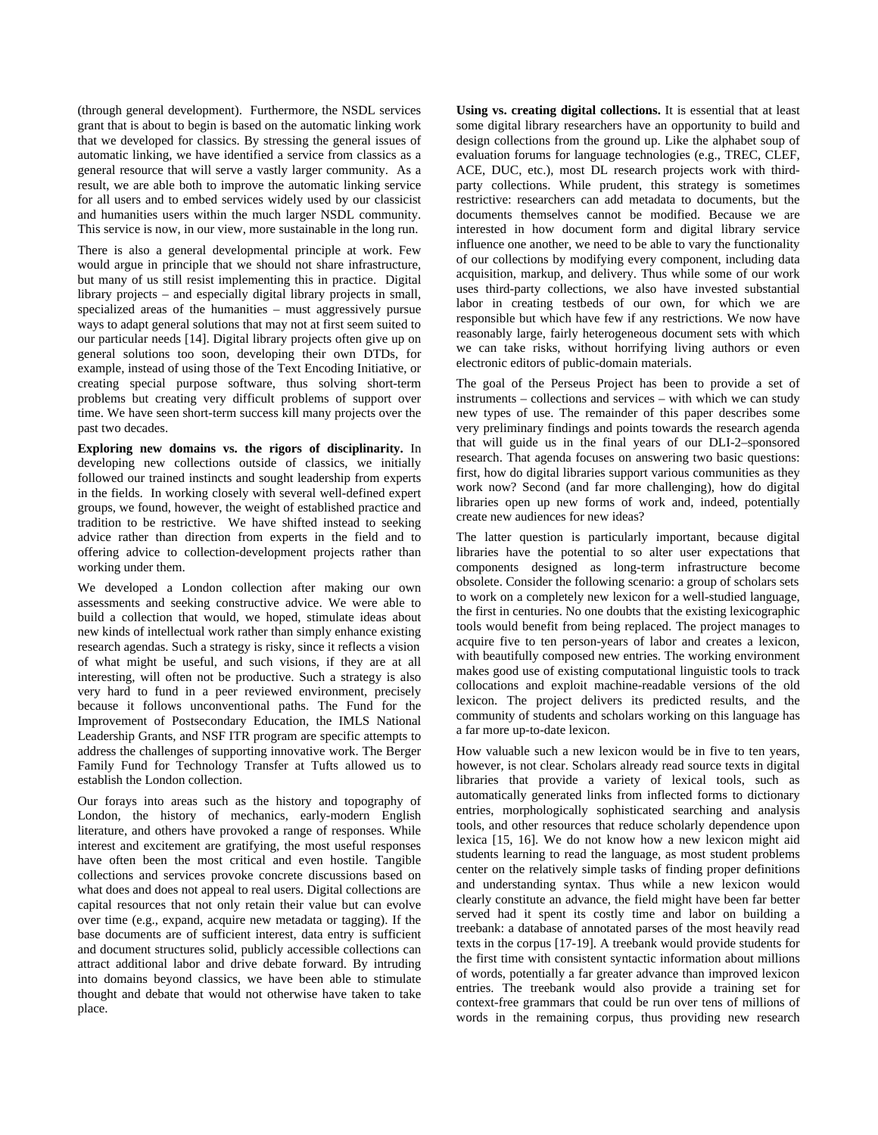(through general development). Furthermore, the NSDL services grant that is about to begin is based on the automatic linking work that we developed for classics. By stressing the general issues of automatic linking, we have identified a service from classics as a general resource that will serve a vastly larger community. As a result, we are able both to improve the automatic linking service for all users and to embed services widely used by our classicist and humanities users within the much larger NSDL community. This service is now, in our view, more sustainable in the long run.

There is also a general developmental principle at work. Few would argue in principle that we should not share infrastructure, but many of us still resist implementing this in practice. Digital library projects – and especially digital library projects in small, specialized areas of the humanities – must aggressively pursue ways to adapt general solutions that may not at first seem suited to our particular needs [14]. Digital library projects often give up on general solutions too soon, developing their own DTDs, for example, instead of using those of the Text Encoding Initiative, or creating special purpose software, thus solving short-term problems but creating very difficult problems of support over time. We have seen short-term success kill many projects over the past two decades.

**Exploring new domains vs. the rigors of disciplinarity.** In developing new collections outside of classics, we initially followed our trained instincts and sought leadership from experts in the fields. In working closely with several well-defined expert groups, we found, however, the weight of established practice and tradition to be restrictive. We have shifted instead to seeking advice rather than direction from experts in the field and to offering advice to collection-development projects rather than working under them.

We developed a London collection after making our own assessments and seeking constructive advice. We were able to build a collection that would, we hoped, stimulate ideas about new kinds of intellectual work rather than simply enhance existing research agendas. Such a strategy is risky, since it reflects a vision of what might be useful, and such visions, if they are at all interesting, will often not be productive. Such a strategy is also very hard to fund in a peer reviewed environment, precisely because it follows unconventional paths. The Fund for the Improvement of Postsecondary Education, the IMLS National Leadership Grants, and NSF ITR program are specific attempts to address the challenges of supporting innovative work. The Berger Family Fund for Technology Transfer at Tufts allowed us to establish the London collection.

Our forays into areas such as the history and topography of London, the history of mechanics, early-modern English literature, and others have provoked a range of responses. While interest and excitement are gratifying, the most useful responses have often been the most critical and even hostile. Tangible collections and services provoke concrete discussions based on what does and does not appeal to real users. Digital collections are capital resources that not only retain their value but can evolve over time (e.g., expand, acquire new metadata or tagging). If the base documents are of sufficient interest, data entry is sufficient and document structures solid, publicly accessible collections can attract additional labor and drive debate forward. By intruding into domains beyond classics, we have been able to stimulate thought and debate that would not otherwise have taken to take place.

**Using vs. creating digital collections.** It is essential that at least some digital library researchers have an opportunity to build and design collections from the ground up. Like the alphabet soup of evaluation forums for language technologies (e.g., TREC, CLEF, ACE, DUC, etc.), most DL research projects work with thirdparty collections. While prudent, this strategy is sometimes restrictive: researchers can add metadata to documents, but the documents themselves cannot be modified. Because we are interested in how document form and digital library service influence one another, we need to be able to vary the functionality of our collections by modifying every component, including data acquisition, markup, and delivery. Thus while some of our work uses third-party collections, we also have invested substantial labor in creating testbeds of our own, for which we are responsible but which have few if any restrictions. We now have reasonably large, fairly heterogeneous document sets with which we can take risks, without horrifying living authors or even electronic editors of public-domain materials.

The goal of the Perseus Project has been to provide a set of instruments – collections and services – with which we can study new types of use. The remainder of this paper describes some very preliminary findings and points towards the research agenda that will guide us in the final years of our DLI-2–sponsored research. That agenda focuses on answering two basic questions: first, how do digital libraries support various communities as they work now? Second (and far more challenging), how do digital libraries open up new forms of work and, indeed, potentially create new audiences for new ideas?

The latter question is particularly important, because digital libraries have the potential to so alter user expectations that components designed as long-term infrastructure become obsolete. Consider the following scenario: a group of scholars sets to work on a completely new lexicon for a well-studied language, the first in centuries. No one doubts that the existing lexicographic tools would benefit from being replaced. The project manages to acquire five to ten person-years of labor and creates a lexicon, with beautifully composed new entries. The working environment makes good use of existing computational linguistic tools to track collocations and exploit machine-readable versions of the old lexicon. The project delivers its predicted results, and the community of students and scholars working on this language has a far more up-to-date lexicon.

How valuable such a new lexicon would be in five to ten years, however, is not clear. Scholars already read source texts in digital libraries that provide a variety of lexical tools, such as automatically generated links from inflected forms to dictionary entries, morphologically sophisticated searching and analysis tools, and other resources that reduce scholarly dependence upon lexica [15, 16]. We do not know how a new lexicon might aid students learning to read the language, as most student problems center on the relatively simple tasks of finding proper definitions and understanding syntax. Thus while a new lexicon would clearly constitute an advance, the field might have been far better served had it spent its costly time and labor on building a treebank: a database of annotated parses of the most heavily read texts in the corpus [17-19]. A treebank would provide students for the first time with consistent syntactic information about millions of words, potentially a far greater advance than improved lexicon entries. The treebank would also provide a training set for context-free grammars that could be run over tens of millions of words in the remaining corpus, thus providing new research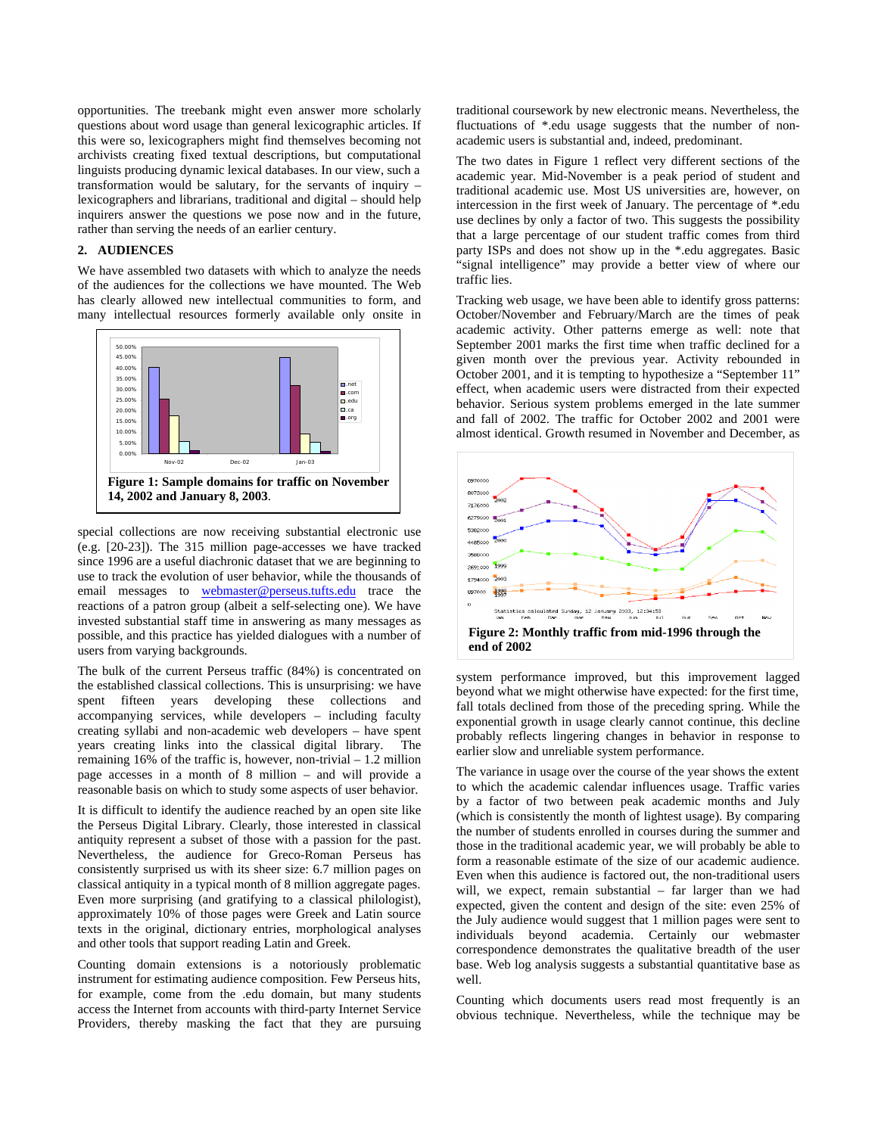opportunities. The treebank might even answer more scholarly questions about word usage than general lexicographic articles. If this were so, lexicographers might find themselves becoming not archivists creating fixed textual descriptions, but computational linguists producing dynamic lexical databases. In our view, such a transformation would be salutary, for the servants of inquiry – lexicographers and librarians, traditional and digital – should help inquirers answer the questions we pose now and in the future, rather than serving the needs of an earlier century.

#### **2. AUDIENCES**

We have assembled two datasets with which to analyze the needs of the audiences for the collections we have mounted. The Web has clearly allowed new intellectual communities to form, and many intellectual resources formerly available only onsite in



special collections are now receiving substantial electronic use (e.g. [20-23]). The 315 million page-accesses we have tracked since 1996 are a useful diachronic dataset that we are beginning to use to track the evolution of user behavior, while the thousands of email messages to webmaster@perseus.tufts.edu trace the reactions of a patron group (albeit a self-selecting one). We have invested substantial staff time in answering as many messages as possible, and this practice has yielded dialogues with a number of users from varying backgrounds.

The bulk of the current Perseus traffic (84%) is concentrated on the established classical collections. This is unsurprising: we have spent fifteen years developing these collections and accompanying services, while developers – including faculty creating syllabi and non-academic web developers – have spent years creating links into the classical digital library. The remaining 16% of the traffic is, however, non-trivial – 1.2 million page accesses in a month of 8 million – and will provide a reasonable basis on which to study some aspects of user behavior.

It is difficult to identify the audience reached by an open site like the Perseus Digital Library. Clearly, those interested in classical antiquity represent a subset of those with a passion for the past. Nevertheless, the audience for Greco-Roman Perseus has consistently surprised us with its sheer size: 6.7 million pages on classical antiquity in a typical month of 8 million aggregate pages. Even more surprising (and gratifying to a classical philologist), approximately 10% of those pages were Greek and Latin source texts in the original, dictionary entries, morphological analyses and other tools that support reading Latin and Greek.

Counting domain extensions is a notoriously problematic instrument for estimating audience composition. Few Perseus hits, for example, come from the .edu domain, but many students access the Internet from accounts with third-party Internet Service Providers, thereby masking the fact that they are pursuing traditional coursework by new electronic means. Nevertheless, the fluctuations of \*.edu usage suggests that the number of nonacademic users is substantial and, indeed, predominant.

The two dates in Figure 1 reflect very different sections of the academic year. Mid-November is a peak period of student and traditional academic use. Most US universities are, however, on intercession in the first week of January. The percentage of \*.edu use declines by only a factor of two. This suggests the possibility that a large percentage of our student traffic comes from third party ISPs and does not show up in the \*.edu aggregates. Basic "signal intelligence" may provide a better view of where our traffic lies.

Tracking web usage, we have been able to identify gross patterns: October/November and February/March are the times of peak academic activity. Other patterns emerge as well: note that September 2001 marks the first time when traffic declined for a given month over the previous year. Activity rebounded in October 2001, and it is tempting to hypothesize a "September 11" effect, when academic users were distracted from their expected behavior. Serious system problems emerged in the late summer and fall of 2002. The traffic for October 2002 and 2001 were almost identical. Growth resumed in November and December, as



system performance improved, but this improvement lagged beyond what we might otherwise have expected: for the first time, fall totals declined from those of the preceding spring. While the exponential growth in usage clearly cannot continue, this decline probably reflects lingering changes in behavior in response to earlier slow and unreliable system performance.

The variance in usage over the course of the year shows the extent to which the academic calendar influences usage. Traffic varies by a factor of two between peak academic months and July (which is consistently the month of lightest usage). By comparing the number of students enrolled in courses during the summer and those in the traditional academic year, we will probably be able to form a reasonable estimate of the size of our academic audience. Even when this audience is factored out, the non-traditional users will, we expect, remain substantial – far larger than we had expected, given the content and design of the site: even 25% of the July audience would suggest that 1 million pages were sent to individuals beyond academia. Certainly our webmaster correspondence demonstrates the qualitative breadth of the user base. Web log analysis suggests a substantial quantitative base as well.

Counting which documents users read most frequently is an obvious technique. Nevertheless, while the technique may be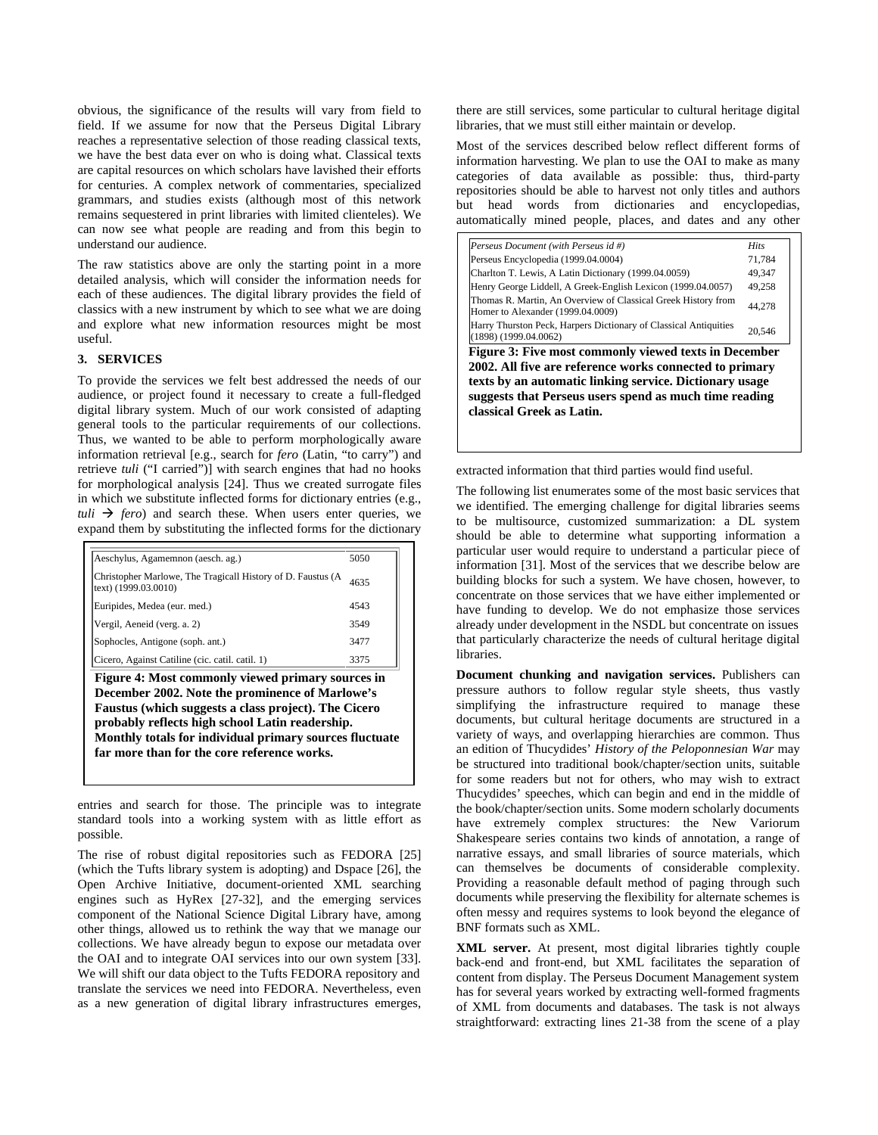obvious, the significance of the results will vary from field to field. If we assume for now that the Perseus Digital Library reaches a representative selection of those reading classical texts, we have the best data ever on who is doing what. Classical texts are capital resources on which scholars have lavished their efforts for centuries. A complex network of commentaries, specialized grammars, and studies exists (although most of this network remains sequestered in print libraries with limited clienteles). We can now see what people are reading and from this begin to understand our audience.

The raw statistics above are only the starting point in a more detailed analysis, which will consider the information needs for each of these audiences. The digital library provides the field of classics with a new instrument by which to see what we are doing and explore what new information resources might be most useful.

## **3. SERVICES**

To provide the services we felt best addressed the needs of our audience, or project found it necessary to create a full-fledged digital library system. Much of our work consisted of adapting general tools to the particular requirements of our collections. Thus, we wanted to be able to perform morphologically aware information retrieval [e.g., search for *fero* (Latin, "to carry") and retrieve *tuli* ("I carried")] with search engines that had no hooks for morphological analysis [24]. Thus we created surrogate files in which we substitute inflected forms for dictionary entries (e.g., *tuli*  $\rightarrow$  *fero*) and search these. When users enter queries, we expand them by substituting the inflected forms for the dictionary

| Aeschylus, Agamemnon (aesch. ag.)                                                   | 5050 |
|-------------------------------------------------------------------------------------|------|
| Christopher Marlowe, The Tragicall History of D. Faustus (A<br>text) (1999.03.0010) | 4635 |
| Euripides, Medea (eur. med.)                                                        | 4543 |
| Vergil, Aeneid (verg. a. 2)                                                         | 3549 |
| Sophocles, Antigone (soph. ant.)                                                    | 3477 |
| Cicero, Against Catiline (cic. catil. catil. 1)                                     | 3375 |

**Faustus (which suggests a class project). The Cicero probably reflects high school Latin readership. Monthly totals for individual primary sources fluctuate far more than for the core reference works.**

entries and search for those. The principle was to integrate standard tools into a working system with as little effort as possible.

The rise of robust digital repositories such as FEDORA [25] (which the Tufts library system is adopting) and Dspace [26], the Open Archive Initiative, document-oriented XML searching engines such as HyRex [27-32], and the emerging services component of the National Science Digital Library have, among other things, allowed us to rethink the way that we manage our collections. We have already begun to expose our metadata over the OAI and to integrate OAI services into our own system [33]. We will shift our data object to the Tufts FEDORA repository and translate the services we need into FEDORA. Nevertheless, even as a new generation of digital library infrastructures emerges, there are still services, some particular to cultural heritage digital libraries, that we must still either maintain or develop.

Most of the services described below reflect different forms of information harvesting. We plan to use the OAI to make as many categories of data available as possible: thus, third-party repositories should be able to harvest not only titles and authors but head words from dictionaries and encyclopedias, automatically mined people, places, and dates and any other

| Perseus Document (with Perseus id #)                                                                                                                                                                                                  | <b>Hits</b> |  |  |
|---------------------------------------------------------------------------------------------------------------------------------------------------------------------------------------------------------------------------------------|-------------|--|--|
| Perseus Encyclopedia (1999.04.0004)                                                                                                                                                                                                   | 71,784      |  |  |
| Charlton T. Lewis, A Latin Dictionary (1999.04.0059)                                                                                                                                                                                  | 49.347      |  |  |
| Henry George Liddell, A Greek-English Lexicon (1999.04.0057)                                                                                                                                                                          |             |  |  |
| Thomas R. Martin, An Overview of Classical Greek History from<br>Homer to Alexander (1999.04.0009)                                                                                                                                    | 44.278      |  |  |
| Harry Thurston Peck, Harpers Dictionary of Classical Antiquities<br>$(1898)$ $(1999.04.0062)$                                                                                                                                         | 20.546      |  |  |
|                                                                                                                                                                                                                                       |             |  |  |
| Figure 3: Five most commonly viewed texts in December<br>2002. All five are reference works connected to primary<br>texts by an automatic linking service. Dictionary usage<br>suggests that Perseus users spend as much time reading |             |  |  |

extracted information that third parties would find useful.

The following list enumerates some of the most basic services that we identified. The emerging challenge for digital libraries seems to be multisource, customized summarization: a DL system should be able to determine what supporting information a particular user would require to understand a particular piece of information [31]. Most of the services that we describe below are building blocks for such a system. We have chosen, however, to concentrate on those services that we have either implemented or have funding to develop. We do not emphasize those services already under development in the NSDL but concentrate on issues that particularly characterize the needs of cultural heritage digital libraries.

**Document chunking and navigation services.** Publishers can pressure authors to follow regular style sheets, thus vastly simplifying the infrastructure required to manage these documents, but cultural heritage documents are structured in a variety of ways, and overlapping hierarchies are common. Thus an edition of Thucydides' *History of the Peloponnesian War* may be structured into traditional book/chapter/section units, suitable for some readers but not for others, who may wish to extract Thucydides' speeches, which can begin and end in the middle of the book/chapter/section units. Some modern scholarly documents have extremely complex structures: the New Variorum Shakespeare series contains two kinds of annotation, a range of narrative essays, and small libraries of source materials, which can themselves be documents of considerable complexity. Providing a reasonable default method of paging through such documents while preserving the flexibility for alternate schemes is often messy and requires systems to look beyond the elegance of BNF formats such as XML.

**XML server.** At present, most digital libraries tightly couple back-end and front-end, but XML facilitates the separation of content from display. The Perseus Document Management system has for several years worked by extracting well-formed fragments of XML from documents and databases. The task is not always straightforward: extracting lines 21-38 from the scene of a play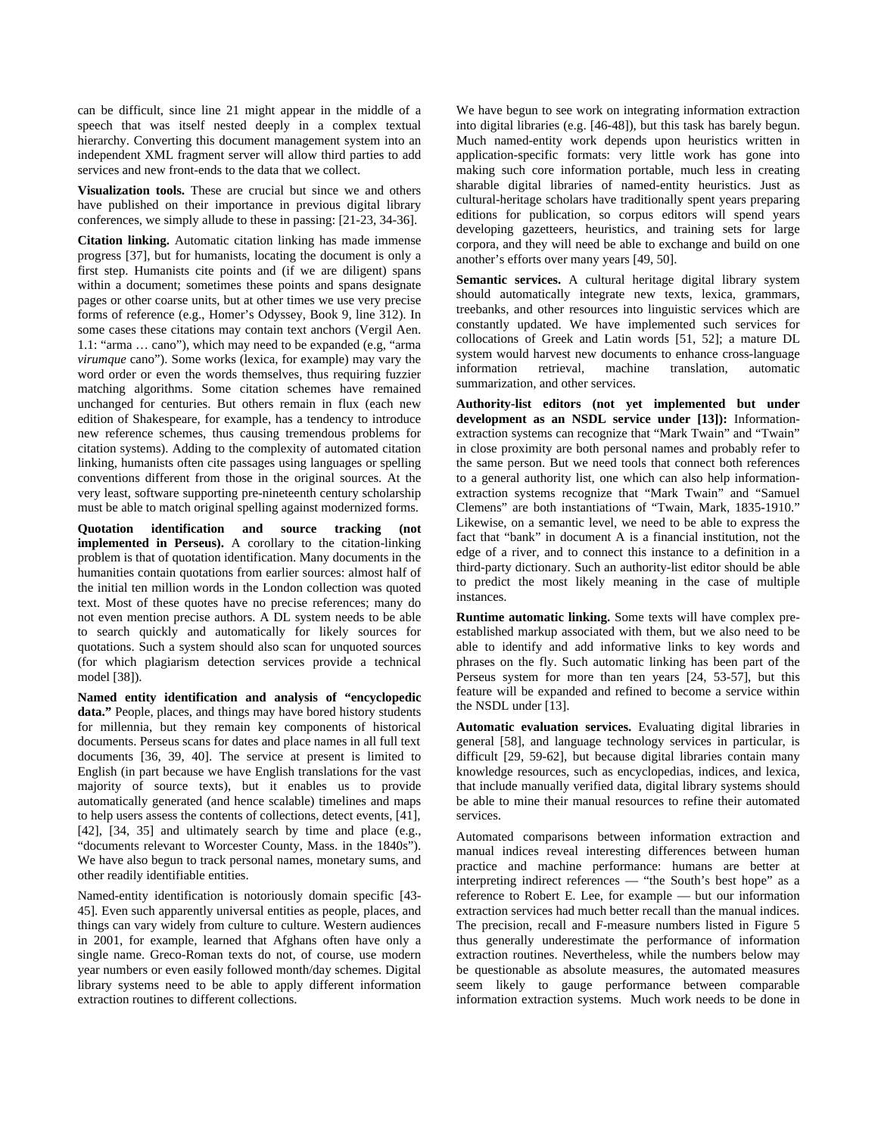can be difficult, since line 21 might appear in the middle of a speech that was itself nested deeply in a complex textual hierarchy. Converting this document management system into an independent XML fragment server will allow third parties to add services and new front-ends to the data that we collect.

**Visualization tools.** These are crucial but since we and others have published on their importance in previous digital library conferences, we simply allude to these in passing: [21-23, 34-36].

**Citation linking.** Automatic citation linking has made immense progress [37], but for humanists, locating the document is only a first step. Humanists cite points and (if we are diligent) spans within a document; sometimes these points and spans designate pages or other coarse units, but at other times we use very precise forms of reference (e.g., Homer's Odyssey, Book 9, line 312). In some cases these citations may contain text anchors (Vergil Aen. 1.1: "arma … cano"), which may need to be expanded (e.g, "arma *virumque* cano"). Some works (lexica, for example) may vary the word order or even the words themselves, thus requiring fuzzier matching algorithms. Some citation schemes have remained unchanged for centuries. But others remain in flux (each new edition of Shakespeare, for example, has a tendency to introduce new reference schemes, thus causing tremendous problems for citation systems). Adding to the complexity of automated citation linking, humanists often cite passages using languages or spelling conventions different from those in the original sources. At the very least, software supporting pre-nineteenth century scholarship must be able to match original spelling against modernized forms.

**Quotation identification and source tracking (not implemented in Perseus).** A corollary to the citation-linking problem is that of quotation identification. Many documents in the humanities contain quotations from earlier sources: almost half of the initial ten million words in the London collection was quoted text. Most of these quotes have no precise references; many do not even mention precise authors. A DL system needs to be able to search quickly and automatically for likely sources for quotations. Such a system should also scan for unquoted sources (for which plagiarism detection services provide a technical model [38]).

**Named entity identification and analysis of "encyclopedic data."** People, places, and things may have bored history students for millennia, but they remain key components of historical documents. Perseus scans for dates and place names in all full text documents [36, 39, 40]. The service at present is limited to English (in part because we have English translations for the vast majority of source texts), but it enables us to provide automatically generated (and hence scalable) timelines and maps to help users assess the contents of collections, detect events, [41], [42], [34, 35] and ultimately search by time and place (e.g., "documents relevant to Worcester County, Mass. in the 1840s"). We have also begun to track personal names, monetary sums, and other readily identifiable entities.

Named-entity identification is notoriously domain specific [43- 45]. Even such apparently universal entities as people, places, and things can vary widely from culture to culture. Western audiences in 2001, for example, learned that Afghans often have only a single name. Greco-Roman texts do not, of course, use modern year numbers or even easily followed month/day schemes. Digital library systems need to be able to apply different information extraction routines to different collections.

We have begun to see work on integrating information extraction into digital libraries (e.g. [46-48]), but this task has barely begun. Much named-entity work depends upon heuristics written in application-specific formats: very little work has gone into making such core information portable, much less in creating sharable digital libraries of named-entity heuristics. Just as cultural-heritage scholars have traditionally spent years preparing editions for publication, so corpus editors will spend years developing gazetteers, heuristics, and training sets for large corpora, and they will need be able to exchange and build on one another's efforts over many years [49, 50].

**Semantic services.** A cultural heritage digital library system should automatically integrate new texts, lexica, grammars, treebanks, and other resources into linguistic services which are constantly updated. We have implemented such services for collocations of Greek and Latin words [51, 52]; a mature DL system would harvest new documents to enhance cross-language information retrieval, machine translation, automatic summarization, and other services.

**Authority-list editors (not yet implemented but under development as an NSDL service under [13]):** Informationextraction systems can recognize that "Mark Twain" and "Twain" in close proximity are both personal names and probably refer to the same person. But we need tools that connect both references to a general authority list, one which can also help informationextraction systems recognize that "Mark Twain" and "Samuel Clemens" are both instantiations of "Twain, Mark, 1835-1910." Likewise, on a semantic level, we need to be able to express the fact that "bank" in document A is a financial institution, not the edge of a river, and to connect this instance to a definition in a third-party dictionary. Such an authority-list editor should be able to predict the most likely meaning in the case of multiple instances.

**Runtime automatic linking.** Some texts will have complex preestablished markup associated with them, but we also need to be able to identify and add informative links to key words and phrases on the fly. Such automatic linking has been part of the Perseus system for more than ten years [24, 53-57], but this feature will be expanded and refined to become a service within the NSDL under [13].

**Automatic evaluation services.** Evaluating digital libraries in general [58], and language technology services in particular, is difficult [29, 59-62], but because digital libraries contain many knowledge resources, such as encyclopedias, indices, and lexica, that include manually verified data, digital library systems should be able to mine their manual resources to refine their automated services.

Automated comparisons between information extraction and manual indices reveal interesting differences between human practice and machine performance: humans are better at interpreting indirect references — "the South's best hope" as a reference to Robert E. Lee, for example — but our information extraction services had much better recall than the manual indices. The precision, recall and F-measure numbers listed in Figure 5 thus generally underestimate the performance of information extraction routines. Nevertheless, while the numbers below may be questionable as absolute measures, the automated measures seem likely to gauge performance between comparable information extraction systems. Much work needs to be done in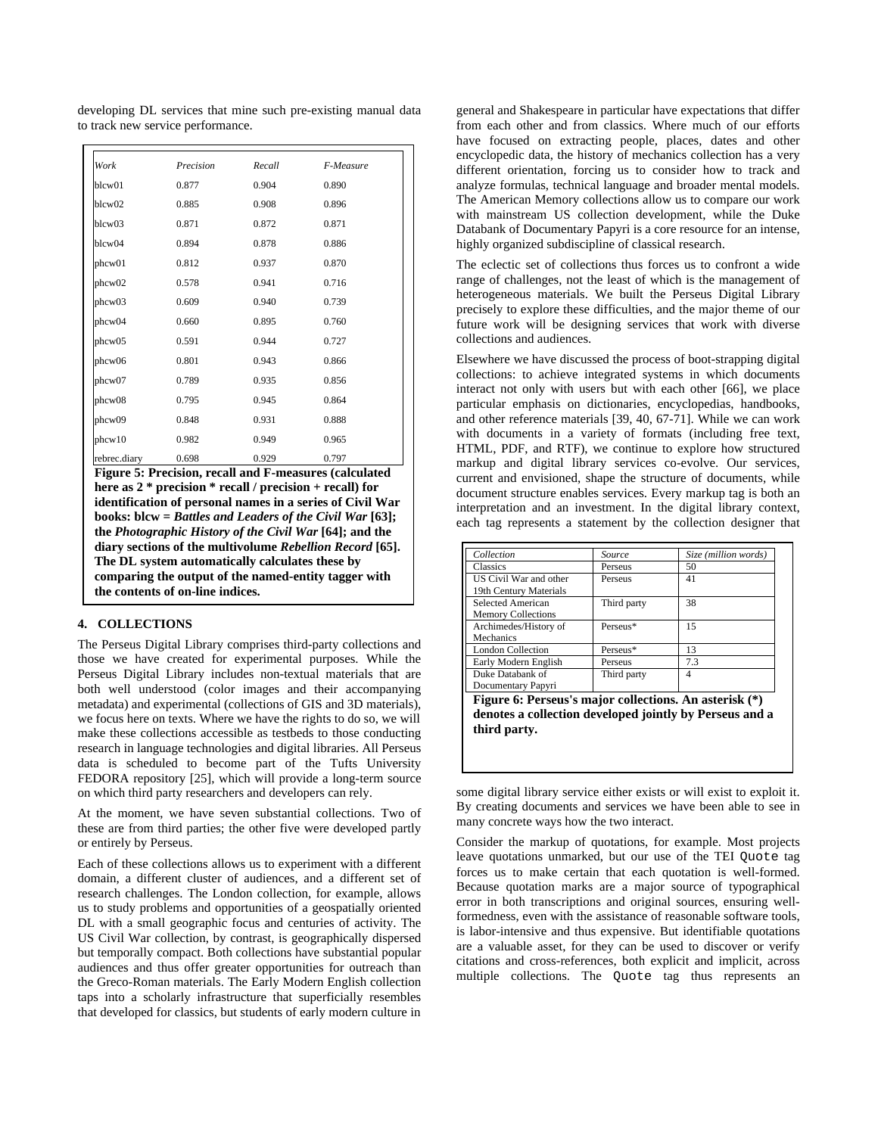developing DL services that mine such pre-existing manual data to track new service performance.

| Work         | Precision | Recall | F-Measure |  |
|--------------|-----------|--------|-----------|--|
| blcw01       | 0.877     | 0.904  | 0.890     |  |
| blcw02       | 0.885     | 0.908  | 0.896     |  |
| blcw03       | 0.871     | 0.872  | 0.871     |  |
| blcw04       | 0.894     | 0.878  | 0.886     |  |
| phcw01       | 0.812     | 0.937  | 0.870     |  |
| phcw02       | 0.578     | 0.941  | 0.716     |  |
| phcw03       | 0.609     | 0.940  | 0.739     |  |
| phcw04       | 0.660     | 0.895  | 0.760     |  |
| phcw05       | 0.591     | 0.944  | 0.727     |  |
| phcw06       | 0.801     | 0.943  | 0.866     |  |
| phcw07       | 0.789     | 0.935  | 0.856     |  |
| phcw08       | 0.795     | 0.945  | 0.864     |  |
| phcw09       | 0.848     | 0.931  | 0.888     |  |
| phcw10       | 0.982     | 0.949  | 0.965     |  |
| rebrec.diary | 0.698     | 0.929  | 0.797     |  |

**Figure 5: Precision, recall and F-measures (calculated here as 2 \* precision \* recall / precision + recall) for identification of personal names in a series of Civil War books: blcw =** *Battles and Leaders of the Civil War* **[63]; the** *Photographic History of the Civil War* **[64]; and the diary sections of the multivolume** *Rebellion Record* **[65]. The DL system automatically calculates these by comparing the output of the named-entity tagger with the contents of on-line indices.**

## **4. COLLECTIONS**

The Perseus Digital Library comprises third-party collections and those we have created for experimental purposes. While the Perseus Digital Library includes non-textual materials that are both well understood (color images and their accompanying metadata) and experimental (collections of GIS and 3D materials), we focus here on texts. Where we have the rights to do so, we will make these collections accessible as testbeds to those conducting research in language technologies and digital libraries. All Perseus data is scheduled to become part of the Tufts University FEDORA repository [25], which will provide a long-term source on which third party researchers and developers can rely.

At the moment, we have seven substantial collections. Two of these are from third parties; the other five were developed partly or entirely by Perseus.

Each of these collections allows us to experiment with a different domain, a different cluster of audiences, and a different set of research challenges. The London collection, for example, allows us to study problems and opportunities of a geospatially oriented DL with a small geographic focus and centuries of activity. The US Civil War collection, by contrast, is geographically dispersed but temporally compact. Both collections have substantial popular audiences and thus offer greater opportunities for outreach than the Greco-Roman materials. The Early Modern English collection taps into a scholarly infrastructure that superficially resembles that developed for classics, but students of early modern culture in

general and Shakespeare in particular have expectations that differ from each other and from classics. Where much of our efforts have focused on extracting people, places, dates and other encyclopedic data, the history of mechanics collection has a very different orientation, forcing us to consider how to track and analyze formulas, technical language and broader mental models. The American Memory collections allow us to compare our work with mainstream US collection development, while the Duke Databank of Documentary Papyri is a core resource for an intense, highly organized subdiscipline of classical research.

The eclectic set of collections thus forces us to confront a wide range of challenges, not the least of which is the management of heterogeneous materials. We built the Perseus Digital Library precisely to explore these difficulties, and the major theme of our future work will be designing services that work with diverse collections and audiences.

Elsewhere we have discussed the process of boot-strapping digital collections: to achieve integrated systems in which documents interact not only with users but with each other [66], we place particular emphasis on dictionaries, encyclopedias, handbooks, and other reference materials [39, 40, 67-71]. While we can work with documents in a variety of formats (including free text, HTML, PDF, and RTF), we continue to explore how structured markup and digital library services co-evolve. Our services, current and envisioned, shape the structure of documents, while document structure enables services. Every markup tag is both an interpretation and an investment. In the digital library context, each tag represents a statement by the collection designer that

| Collection                                                                                                                        | Source      | Size (million words) |
|-----------------------------------------------------------------------------------------------------------------------------------|-------------|----------------------|
| Classics                                                                                                                          | Perseus     | 50                   |
| US Civil War and other<br>19th Century Materials                                                                                  | Perseus     | 41                   |
| Selected American<br><b>Memory Collections</b>                                                                                    | Third party | 38                   |
| Archimedes/History of<br>Mechanics                                                                                                | Perseus*    | 15                   |
| <b>London Collection</b>                                                                                                          | Perseus*    | 13                   |
| Early Modern English                                                                                                              | Perseus     | 7.3                  |
| Duke Databank of<br>Documentary Papyri                                                                                            | Third party | 4                    |
| Figure 6: Perseus's major collections. An asterisk (*)<br>denotes a collection developed jointly by Perseus and a<br>third party. |             |                      |

some digital library service either exists or will exist to exploit it. By creating documents and services we have been able to see in many concrete ways how the two interact.

Consider the markup of quotations, for example. Most projects leave quotations unmarked, but our use of the TEI Quote tag forces us to make certain that each quotation is well-formed. Because quotation marks are a major source of typographical error in both transcriptions and original sources, ensuring wellformedness, even with the assistance of reasonable software tools, is labor-intensive and thus expensive. But identifiable quotations are a valuable asset, for they can be used to discover or verify citations and cross-references, both explicit and implicit, across multiple collections. The Quote tag thus represents an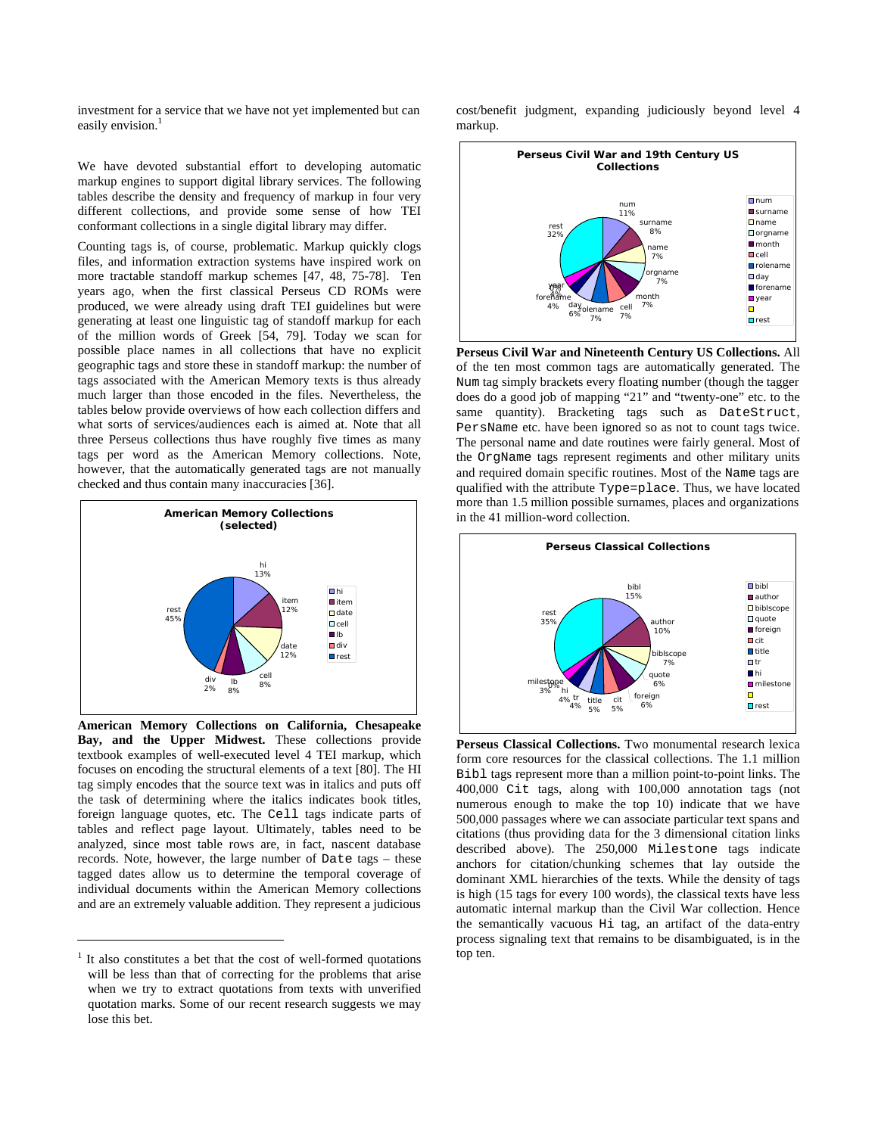investment for a service that we have not yet implemented but can easily envision.<sup>1</sup>

We have devoted substantial effort to developing automatic markup engines to support digital library services. The following tables describe the density and frequency of markup in four very different collections, and provide some sense of how TEI conformant collections in a single digital library may differ.

Counting tags is, of course, problematic. Markup quickly clogs files, and information extraction systems have inspired work on more tractable standoff markup schemes [47, 48, 75-78]. Ten years ago, when the first classical Perseus CD ROMs were produced, we were already using draft TEI guidelines but were generating at least one linguistic tag of standoff markup for each of the million words of Greek [54, 79]. Today we scan for possible place names in all collections that have no explicit geographic tags and store these in standoff markup: the number of tags associated with the American Memory texts is thus already much larger than those encoded in the files. Nevertheless, the tables below provide overviews of how each collection differs and what sorts of services/audiences each is aimed at. Note that all three Perseus collections thus have roughly five times as many tags per word as the American Memory collections. Note, however, that the automatically generated tags are not manually checked and thus contain many inaccuracies [36].



**American Memory Collections on California, Chesapeake Bay, and the Upper Midwest.** These collections provide textbook examples of well-executed level 4 TEI markup, which focuses on encoding the structural elements of a text [80]. The HI tag simply encodes that the source text was in italics and puts off the task of determining where the italics indicates book titles, foreign language quotes, etc. The Cell tags indicate parts of tables and reflect page layout. Ultimately, tables need to be analyzed, since most table rows are, in fact, nascent database records. Note, however, the large number of Date tags – these tagged dates allow us to determine the temporal coverage of individual documents within the American Memory collections and are an extremely valuable addition. They represent a judicious

 $\overline{a}$ 

cost/benefit judgment, expanding judiciously beyond level 4 markup.



**Perseus Civil War and Nineteenth Century US Collections.** All of the ten most common tags are automatically generated. The Num tag simply brackets every floating number (though the tagger does do a good job of mapping "21" and "twenty-one" etc. to the same quantity). Bracketing tags such as DateStruct, PersName etc. have been ignored so as not to count tags twice. The personal name and date routines were fairly general. Most of the OrgName tags represent regiments and other military units and required domain specific routines. Most of the Name tags are qualified with the attribute Type=place. Thus, we have located more than 1.5 million possible surnames, places and organizations in the 41 million-word collection.



**Perseus Classical Collections.** Two monumental research lexica form core resources for the classical collections. The 1.1 million Bibl tags represent more than a million point-to-point links. The 400,000 Cit tags, along with 100,000 annotation tags (not numerous enough to make the top 10) indicate that we have 500,000 passages where we can associate particular text spans and citations (thus providing data for the 3 dimensional citation links described above). The 250,000 Milestone tags indicate anchors for citation/chunking schemes that lay outside the dominant XML hierarchies of the texts. While the density of tags is high (15 tags for every 100 words), the classical texts have less automatic internal markup than the Civil War collection. Hence the semantically vacuous Hi tag, an artifact of the data-entry process signaling text that remains to be disambiguated, is in the top ten.

<sup>1</sup> It also constitutes a bet that the cost of well-formed quotations will be less than that of correcting for the problems that arise when we try to extract quotations from texts with unverified quotation marks. Some of our recent research suggests we may lose this bet.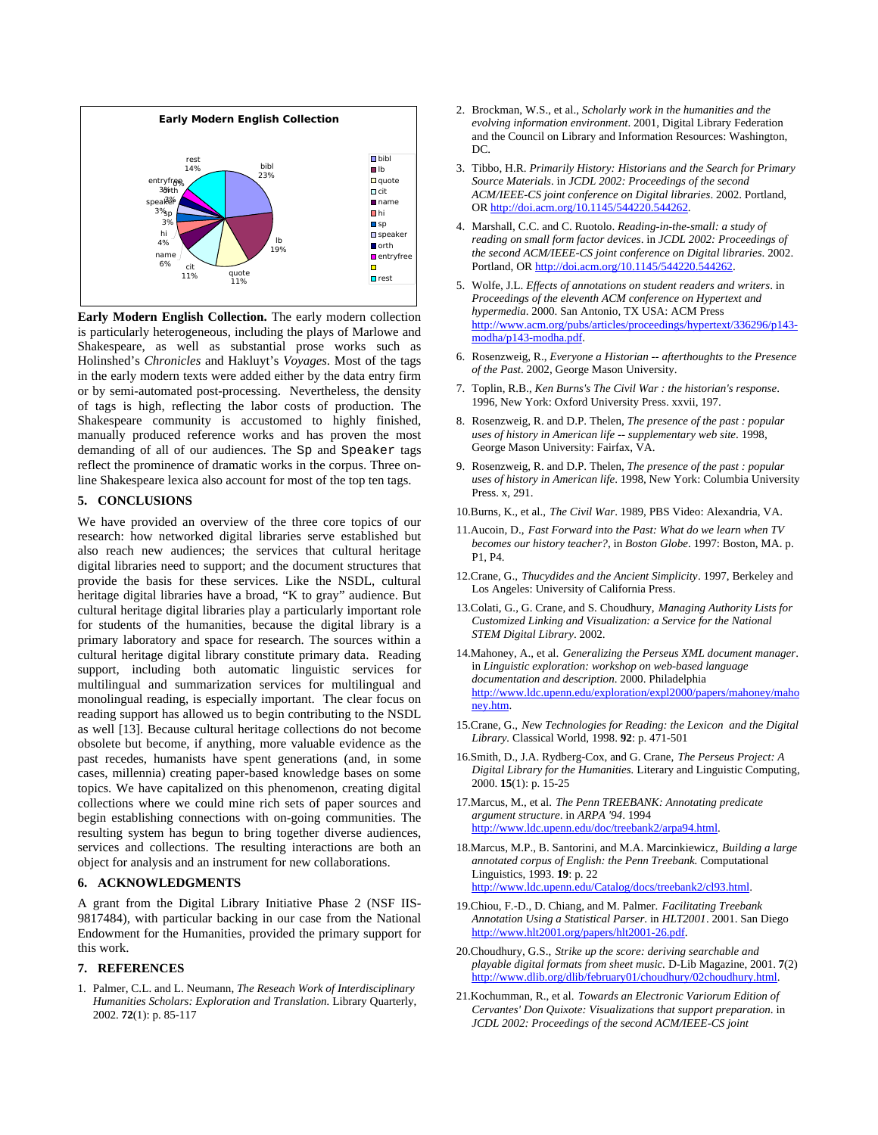

**Early Modern English Collection.** The early modern collection is particularly heterogeneous, including the plays of Marlowe and Shakespeare, as well as substantial prose works such as Holinshed's *Chronicles* and Hakluyt's *Voyages*. Most of the tags in the early modern texts were added either by the data entry firm or by semi-automated post-processing. Nevertheless, the density of tags is high, reflecting the labor costs of production. The Shakespeare community is accustomed to highly finished, manually produced reference works and has proven the most demanding of all of our audiences. The Sp and Speaker tags reflect the prominence of dramatic works in the corpus. Three online Shakespeare lexica also account for most of the top ten tags.

#### **5. CONCLUSIONS**

We have provided an overview of the three core topics of our research: how networked digital libraries serve established but also reach new audiences; the services that cultural heritage digital libraries need to support; and the document structures that provide the basis for these services. Like the NSDL, cultural heritage digital libraries have a broad, "K to gray" audience. But cultural heritage digital libraries play a particularly important role for students of the humanities, because the digital library is a primary laboratory and space for research. The sources within a cultural heritage digital library constitute primary data. Reading support, including both automatic linguistic services for multilingual and summarization services for multilingual and monolingual reading, is especially important. The clear focus on reading support has allowed us to begin contributing to the NSDL as well [13]. Because cultural heritage collections do not become obsolete but become, if anything, more valuable evidence as the past recedes, humanists have spent generations (and, in some cases, millennia) creating paper-based knowledge bases on some topics. We have capitalized on this phenomenon, creating digital collections where we could mine rich sets of paper sources and begin establishing connections with on-going communities. The resulting system has begun to bring together diverse audiences, services and collections. The resulting interactions are both an object for analysis and an instrument for new collaborations.

#### **6. ACKNOWLEDGMENTS**

A grant from the Digital Library Initiative Phase 2 (NSF IIS-9817484), with particular backing in our case from the National Endowment for the Humanities, provided the primary support for this work.

#### **7. REFERENCES**

1. Palmer, C.L. and L. Neumann, *The Reseach Work of Interdisciplinary Humanities Scholars: Exploration and Translation.* Library Quarterly, 2002. **72**(1): p. 85-117

- 2. Brockman, W.S., et al., *Scholarly work in the humanities and the evolving information environment*. 2001, Digital Library Federation and the Council on Library and Information Resources: Washington,  $DC$
- 3. Tibbo, H.R. *Primarily History: Historians and the Search for Primary Source Materials*. in *JCDL 2002: Proceedings of the second ACM/IEEE-CS joint conference on Digital libraries*. 2002. Portland, OR http://doi.acm.org/10.1145/544220.544262.
- 4. Marshall, C.C. and C. Ruotolo. *Reading-in-the-small: a study of reading on small form factor devices*. in *JCDL 2002: Proceedings of the second ACM/IEEE-CS joint conference on Digital libraries*. 2002. Portland, OR http://doi.acm.org/10.1145/544220.544262.
- 5. Wolfe, J.L. *Effects of annotations on student readers and writers*. in *Proceedings of the eleventh ACM conference on Hypertext and hypermedia*. 2000. San Antonio, TX USA: ACM Press http://www.acm.org/pubs/articles/proceedings/hypertext/336296/p143 modha/p143-modha.pdf.
- 6. Rosenzweig, R., *Everyone a Historian -- afterthoughts to the Presence of the Past*. 2002, George Mason University.
- 7. Toplin, R.B., *Ken Burns's The Civil War : the historian's response*. 1996, New York: Oxford University Press. xxvii, 197.
- 8. Rosenzweig, R. and D.P. Thelen, *The presence of the past : popular uses of history in American life -- supplementary web site*. 1998, George Mason University: Fairfax, VA.
- 9. Rosenzweig, R. and D.P. Thelen, *The presence of the past : popular uses of history in American life*. 1998, New York: Columbia University Press. x, 291.

10.Burns, K., et al., *The Civil War*. 1989, PBS Video: Alexandria, VA.

- 11.Aucoin, D., *Fast Forward into the Past: What do we learn when TV becomes our history teacher?*, in *Boston Globe*. 1997: Boston, MA. p. P1, P4.
- 12.Crane, G., *Thucydides and the Ancient Simplicity*. 1997, Berkeley and Los Angeles: University of California Press.
- 13.Colati, G., G. Crane, and S. Choudhury, *Managing Authority Lists for Customized Linking and Visualization: a Service for the National STEM Digital Library*. 2002.
- 14.Mahoney, A., et al. *Generalizing the Perseus XML document manager*. in *Linguistic exploration: workshop on web-based language documentation and description*. 2000. Philadelphia http://www.ldc.upenn.edu/exploration/expl2000/papers/mahoney/maho ney.htm.
- 15.Crane, G., *New Technologies for Reading: the Lexicon and the Digital Library.* Classical World, 1998. **92**: p. 471-501
- 16.Smith, D., J.A. Rydberg-Cox, and G. Crane, *The Perseus Project: A Digital Library for the Humanities.* Literary and Linguistic Computing, 2000. **15**(1): p. 15-25
- 17.Marcus, M., et al. *The Penn TREEBANK: Annotating predicate argument structure*. in *ARPA '94*. 1994 http://www.ldc.upenn.edu/doc/treebank2/arpa94.html.
- 18.Marcus, M.P., B. Santorini, and M.A. Marcinkiewicz, *Building a large annotated corpus of English: the Penn Treebank.* Computational Linguistics, 1993. **19**: p. 22 http://www.ldc.upenn.edu/Catalog/docs/treebank2/cl93.html.
- 19.Chiou, F.-D., D. Chiang, and M. Palmer. *Facilitating Treebank Annotation Using a Statistical Parser*. in *HLT2001*. 2001. San Diego http://www.hlt2001.org/papers/hlt2001-26.pdf.
- 20.Choudhury, G.S., *Strike up the score: deriving searchable and playable digital formats from sheet music.* D-Lib Magazine, 2001. **7**(2) http://www.dlib.org/dlib/february01/choudhury/02choudhury.html.
- 21.Kochumman, R., et al. *Towards an Electronic Variorum Edition of Cervantes' Don Quixote: Visualizations that support preparation*. in *JCDL 2002: Proceedings of the second ACM/IEEE-CS joint*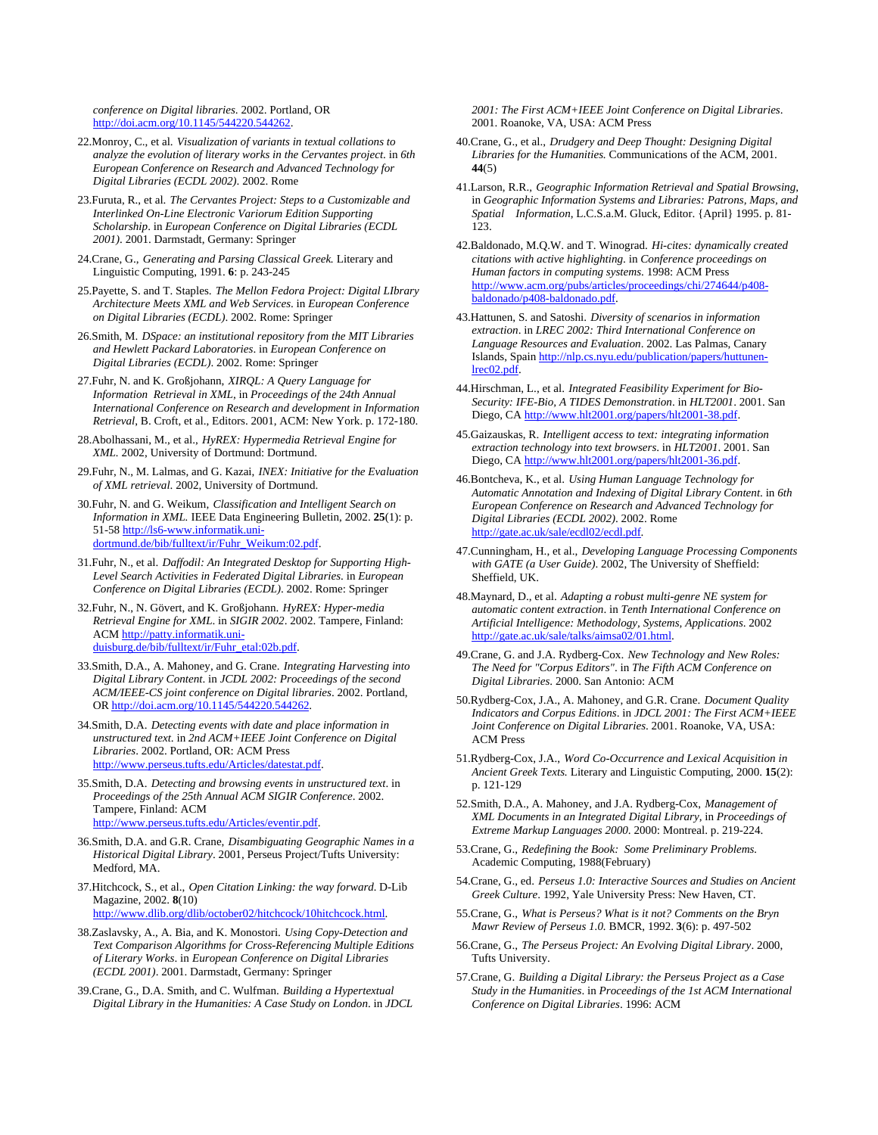*conference on Digital libraries*. 2002. Portland, OR http://doi.acm.org/10.1145/544220.544262.

- 22.Monroy, C., et al. *Visualization of variants in textual collations to analyze the evolution of literary works in the Cervantes project*. in *6th European Conference on Research and Advanced Technology for Digital Libraries (ECDL 2002)*. 2002. Rome
- 23.Furuta, R., et al. *The Cervantes Project: Steps to a Customizable and Interlinked On-Line Electronic Variorum Edition Supporting Scholarship*. in *European Conference on Digital Libraries (ECDL 2001)*. 2001. Darmstadt, Germany: Springer
- 24.Crane, G., *Generating and Parsing Classical Greek.* Literary and Linguistic Computing, 1991. **6**: p. 243-245
- 25.Payette, S. and T. Staples. *The Mellon Fedora Project: Digital LIbrary Architecture Meets XML and Web Services*. in *European Conference on Digital Libraries (ECDL)*. 2002. Rome: Springer
- 26.Smith, M. *DSpace: an institutional repository from the MIT Libraries and Hewlett Packard Laboratories*. in *European Conference on Digital Libraries (ECDL)*. 2002. Rome: Springer
- 27.Fuhr, N. and K. Großjohann, *XIRQL: A Query Language for Information Retrieval in XML*, in *Proceedings of the 24th Annual International Conference on Research and development in Information Retrieval*, B. Croft, et al., Editors. 2001, ACM: New York. p. 172-180.
- 28.Abolhassani, M., et al., *HyREX: Hypermedia Retrieval Engine for XML.* 2002, University of Dortmund: Dortmund.
- 29.Fuhr, N., M. Lalmas, and G. Kazai, *INEX: Initiative for the Evaluation of XML retrieval*. 2002, University of Dortmund.
- 30.Fuhr, N. and G. Weikum, *Classification and Intelligent Search on Information in XML.* IEEE Data Engineering Bulletin, 2002. **25**(1): p. 51-58 http://ls6-www.informatik.unidortmund.de/bib/fulltext/ir/Fuhr\_Weikum:02.pdf.
- 31.Fuhr, N., et al. *Daffodil: An Integrated Desktop for Supporting High-Level Search Activities in Federated Digital Libraries*. in *European Conference on Digital Libraries (ECDL)*. 2002. Rome: Springer
- 32.Fuhr, N., N. Gövert, and K. Großjohann. *HyREX: Hyper-media Retrieval Engine for XML*. in *SIGIR 2002*. 2002. Tampere, Finland: ACM http://patty.informatik.uniduisburg.de/bib/fulltext/ir/Fuhr\_etal:02b.pdf.
- 33.Smith, D.A., A. Mahoney, and G. Crane. *Integrating Harvesting into Digital Library Content*. in *JCDL 2002: Proceedings of the second ACM/IEEE-CS joint conference on Digital libraries*. 2002. Portland, OR http://doi.acm.org/10.1145/544220.544262.
- 34.Smith, D.A. *Detecting events with date and place information in unstructured text*. in *2nd ACM+IEEE Joint Conference on Digital Libraries*. 2002. Portland, OR: ACM Press http://www.perseus.tufts.edu/Articles/datestat.pdf.
- 35.Smith, D.A. *Detecting and browsing events in unstructured text*. in *Proceedings of the 25th Annual ACM SIGIR Conference*. 2002. Tampere, Finland: ACM http://www.perseus.tufts.edu/Articles/eventir.pdf.
- 36.Smith, D.A. and G.R. Crane, *Disambiguating Geographic Names in a Historical Digital Library*. 2001, Perseus Project/Tufts University: Medford, MA.
- 37.Hitchcock, S., et al., *Open Citation Linking: the way forward.* D-Lib Magazine, 2002. **8**(10) http://www.dlib.org/dlib/october02/hitchcock/10hitchcock.html.
- 38.Zaslavsky, A., A. Bia, and K. Monostori. *Using Copy-Detection and Text Comparison Algorithms for Cross-Referencing Multiple Editions of Literary Works*. in *European Conference on Digital Libraries (ECDL 2001)*. 2001. Darmstadt, Germany: Springer
- 39.Crane, G., D.A. Smith, and C. Wulfman. *Building a Hypertextual Digital Library in the Humanities: A Case Study on London*. in *JDCL*

*2001: The First ACM+IEEE Joint Conference on Digital Libraries*. 2001. Roanoke, VA, USA: ACM Press

- 40.Crane, G., et al., *Drudgery and Deep Thought: Designing Digital Libraries for the Humanities.* Communications of the ACM, 2001. **44**(5)
- 41.Larson, R.R., *Geographic Information Retrieval and Spatial Browsing*, in *Geographic Information Systems and Libraries: Patrons, Maps, and Spatial Information*, L.C.S.a.M. Gluck, Editor. {April} 1995. p. 81- 123.
- 42.Baldonado, M.Q.W. and T. Winograd. *Hi-cites: dynamically created citations with active highlighting*. in *Conference proceedings on Human factors in computing systems*. 1998: ACM Press http://www.acm.org/pubs/articles/proceedings/chi/274644/p408 baldonado/p408-baldonado.pdf.
- 43.Hattunen, S. and Satoshi. *Diversity of scenarios in information extraction*. in *LREC 2002: Third International Conference on Language Resources and Evaluation*. 2002. Las Palmas, Canary Islands, Spain http://nlp.cs.nyu.edu/publication/papers/huttunenlrec02.pdf.
- 44.Hirschman, L., et al. *Integrated Feasibility Experiment for Bio-Security: IFE-Bio, A TIDES Demonstration*. in *HLT2001*. 2001. San Diego, CA http://www.hlt2001.org/papers/hlt2001-38.pdf.
- 45.Gaizauskas, R. *Intelligent access to text: integrating information extraction technology into text browsers*. in *HLT2001*. 2001. San Diego, CA http://www.hlt2001.org/papers/hlt2001-36.pdf.
- 46.Bontcheva, K., et al. *Using Human Language Technology for Automatic Annotation and Indexing of Digital Library Content*. in *6th European Conference on Research and Advanced Technology for Digital Libraries (ECDL 2002)*. 2002. Rome http://gate.ac.uk/sale/ecdl02/ecdl.pdf.
- 47.Cunningham, H., et al., *Developing Language Processing Components with GATE (a User Guide)*. 2002, The University of Sheffield: Sheffield, UK.
- 48.Maynard, D., et al. *Adapting a robust multi-genre NE system for automatic content extraction*. in *Tenth International Conference on Artificial Intelligence: Methodology, Systems, Applications*. 2002 http://gate.ac.uk/sale/talks/aimsa02/01.html.
- 49.Crane, G. and J.A. Rydberg-Cox. *New Technology and New Roles: The Need for "Corpus Editors"*. in *The Fifth ACM Conference on Digital Libraries*. 2000. San Antonio: ACM
- 50.Rydberg-Cox, J.A., A. Mahoney, and G.R. Crane. *Document Quality Indicators and Corpus Editions*. in *JDCL 2001: The First ACM+IEEE Joint Conference on Digital Libraries*. 2001. Roanoke, VA, USA: ACM Press
- 51.Rydberg-Cox, J.A., *Word Co-Occurrence and Lexical Acquisition in Ancient Greek Texts.* Literary and Linguistic Computing, 2000. **15**(2): p. 121-129
- 52.Smith, D.A., A. Mahoney, and J.A. Rydberg-Cox, *Management of XML Documents in an Integrated Digital Library*, in *Proceedings of Extreme Markup Languages 2000*. 2000: Montreal. p. 219-224.
- 53.Crane, G., *Redefining the Book: Some Preliminary Problems.* Academic Computing, 1988(February)
- 54.Crane, G., ed. *Perseus 1.0: Interactive Sources and Studies on Ancient Greek Culture*. 1992, Yale University Press: New Haven, CT.
- 55.Crane, G., *What is Perseus? What is it not? Comments on the Bryn Mawr Review of Perseus 1.0.* BMCR, 1992. **3**(6): p. 497-502
- 56.Crane, G., *The Perseus Project: An Evolving Digital Library*. 2000, Tufts University.
- 57.Crane, G. *Building a Digital Library: the Perseus Project as a Case Study in the Humanities*. in *Proceedings of the 1st ACM International Conference on Digital Libraries*. 1996: ACM